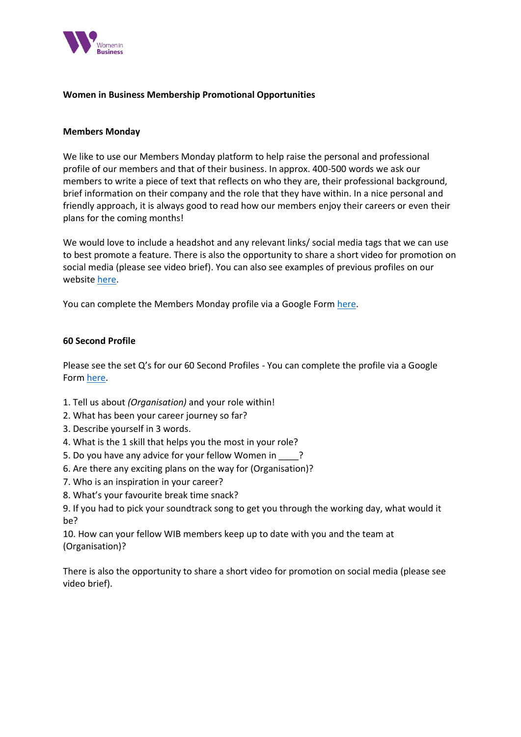

# **Women in Business Membership Promotional Opportunities**

#### **Members Monday**

We like to use our Members Monday platform to help raise the personal and professional profile of our members and that of their business. In approx. 400-500 words we ask our members to write a piece of text that reflects on who they are, their professional background, brief information on their company and the role that they have within. In a nice personal and friendly approach, it is always good to read how our members enjoy their careers or even their plans for the coming months!

We would love to include a headshot and any relevant links/ social media tags that we can use to best promote a feature. There is also the opportunity to share a short video for promotion on social media (please see video brief). You can also see examples of previous profiles on our website [here.](https://www.womeninbusinessni.com/News/Member-s-Monday-Archive.aspx)

You can complete the Members Monday profile via a Google Form [here.](https://docs.google.com/forms/d/e/1FAIpQLScNAn_SL75kPYU4U45Z_SzuoGwV7Qer2dWQdvlTZ9WP4aixKQ/viewform)

# **60 Second Profile**

Please see the set Q's for our 60 Second Profiles - You can complete the profile via a Google Form [here.](https://docs.google.com/forms/d/e/1FAIpQLSea4Jot9YdIXHpqkT_q-o8CSKBD8BcI-XwChdmWQvJSzkehpw/viewform)

- 1. Tell us about *(Organisation)* and your role within!
- 2. What has been your career journey so far?
- 3. Describe yourself in 3 words.
- 4. What is the 1 skill that helps you the most in your role?
- 5. Do you have any advice for your fellow Women in  $\frac{1}{2}$ ?
- 6. Are there any exciting plans on the way for (Organisation)?
- 7. Who is an inspiration in your career?
- 8. What's your favourite break time snack?
- 9. If you had to pick your soundtrack song to get you through the working day, what would it be?

10. How can your fellow WIB members keep up to date with you and the team at (Organisation)?

There is also the opportunity to share a short video for promotion on social media (please see video brief).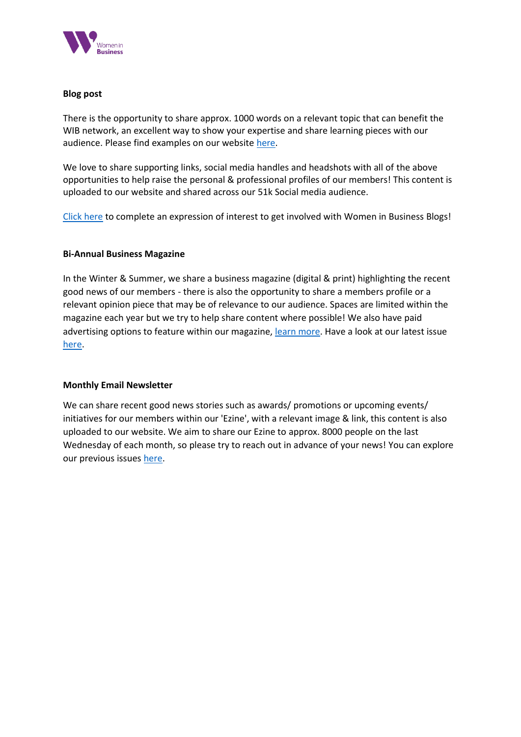

# **Blog post**

There is the opportunity to share approx. 1000 words on a relevant topic that can benefit the WIB network, an excellent way to show your expertise and share learning pieces with our audience. Please find examples on our website [here.](https://www.womeninbusinessni.com/Blog.aspx)

We love to share supporting links, social media handles and headshots with all of the above opportunities to help raise the personal & professional profiles of our members! This content is uploaded to our website and shared across our 51k Social media audience.

[Click here](https://docs.google.com/forms/d/e/1FAIpQLSf0zVFHLXoFSooQDr_NYIFyvvZJt0jnr7RPrFT8qzKD0OkndA/viewform) to complete an expression of interest to get involved with Women in Business Blogs!

# **Bi-Annual Business Magazine**

In the Winter & Summer, we share a business magazine (digital & print) highlighting the recent good news of our members - there is also the opportunity to share a members profile or a relevant opinion piece that may be of relevance to our audience. Spaces are limited within the magazine each year but we try to help share content where possible! We also have paid advertising options to feature within our magazine, [learn more.](https://www.womeninbusinessni.com/Advertising.aspx) Have a look at our latest issue [here.](https://www.flipsnack.com/womeninbusinessnorthernireland/women-in-business-summer-magazine-2021-vh5gm3krzp/full-view.html)

# **Monthly Email Newsletter**

We can share recent good news stories such as awards/ promotions or upcoming events/ initiatives for our members within our 'Ezine', with a relevant image & link, this content is also uploaded to our website. We aim to share our Ezine to approx. 8000 people on the last Wednesday of each month, so please try to reach out in advance of your news! You can explore our previous issues [here.](https://www.womeninbusinessni.com/News/WIB-Ezines.aspx)